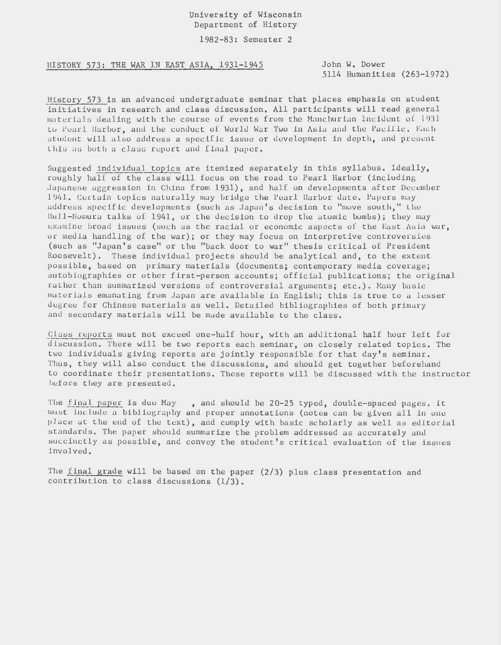# University of Wisconsin Department of History

1982-83: Semester 2

HISTORY 573: THE WAR IN EAST ASIA, 1931-1945 John W. Dower

5114 Humanities (263-1972)

History 573 is an advanced undergraduate seminar that places emphasis on student initiatives in research and class discussion. All participants will read general materials dealing with the course of events from the Manchurian Incident of 1931 to Pearl Harbor, and the conduct of World War Two in Asia and the Pacific. Each student will also address a specific issue or development in depth, and present this as both a class report and final paper.

Suggested individual topics are itemized separately in this syllabus. Ideally, roughly half of the class will focus on the road to Pearl Harbor (including Japanese aggression in China from 1931), and half on developments after December 1941. Certain topics naturally may bridge the Pearl Harbor date. Papers may address specific developments (such as Japan's decision to "move south," the llull-Nomura talks of 1941, or the decision to drop the atomic bombs); they may examine broad issues (such as the racial or economic aspects of the East Asia war, or media handling of the war); or they may focus on interpretive controversies (such as "Japan's case" or the "back door to war" thesis critical of President Roosevelt). These individual projects should be analytical and, to the extent possible, based on primary materials (documents; contemporary media coverage; autobiographies or other first-person accounts; official publications; the original rather than summarized versions of controversial arguments; etc.). Many basic materials emanating from Japan are available in English; this is true to a lesser degree for Chinese materials as well. Detailed bibliographies of both primary and secondary materials will be made available to the class.

Class reports must not exceed one-half hour, with an additional half hour left for discussion. There will be two reports each seminar, on closely related topics. The two individuals giving reports are jointly responsible for that day's seminar. Thus, they will also conduct the discussions, and should get together beforehand to coordinate their presentations. These reports will be discussed with the instructor before they are presented.

The final paper is due May, and should be 20-25 typed, double-spaced pages. It must include a bibliography and proper annotations (notes can be given all in one place at the end of the text), and comply with basic scholarly as well as editorial standards. The paper should summarize the problem addressed as accurately and succinctly as possible, and convey the student's critical evaluation of the issues involved.

The final grade will be based on the paper (2/3) plus class presentation and contribution to class discussions (1/3).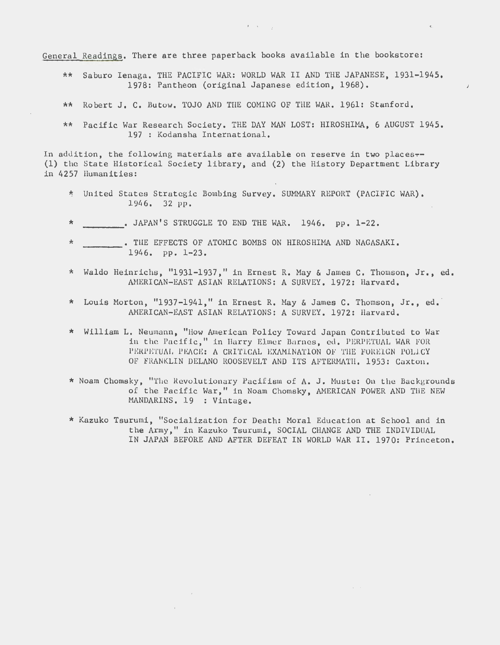General Readings. There are three paperback books available in the bookstore:

\*\* Saburo Ienaga. THE PACIFIC WAR: WORLD WAR II AND THE JAPANESE, 1931-1945. 1978: Pantheon (original Japanese edition, 1968).

 $\mathcal{F} = \mathcal{K}^{(1)} \cup \mathcal{F}^{(2)}$ 

- Robert J. C. Butow. TOJO AND THE COMING OF THE WAR. 1961: Stanford.  $**$
- \*\* Pacific War Research Society. THE DAY MAN LOST: HIROSHIMA, 6 AUGUST 1945. 197 : Kodansha International.

In addition, the following materials are available on reserve in two places--(1) the State Historical Society library, and (2) the History Department Library in 4257 Humanities:

- \* United States Strategic Bombing Survey. SUMMARY REPORT (PACIFIC WAR). 1946. 32 pp.
- . JAPAN'S STRUGGLE TO END THE WAR. 1946. pp. 1-22.  $\frac{1}{2}$
- . THE EFFECTS OF ATOMIC BOMBS ON HIROSHIMA AND NAGASAKI.  $\star$  $1946.$  pp.  $1-23.$
- Waldo Heinrichs, "1931-1937," in Ernest R. May & James C. Thomson, Jr., ed.  $\star$ AMERICAN-EAST ASIAN RELATIONS: A SURVEY, 1972: Harvard,
- Louis Morton, "1937-1941," in Ernest R. May & James C. Thomson, Jr., ed.  $\star$ AMERICAN-EAST ASIAN RELATIONS: A SURVEY. 1972: Harvard.
- \* William L. Neumann, "How American Policy Toward Japan Contributed to War in the Pacific," in Harry Elmer Barnes, ed. PERPETUAL WAR FOR PERPETUAL PEACE: A CRITICAL EXAMINATION OF THE FOREIGN POLICY OF FRANKLIN DELANO ROOSEVELT AND ITS AFTERMATH. 1953: Caxton.
- \* Noam Chomsky, "The Revolutionary Pacifism of A. J. Muste: On the Backgrounds of the Pacific War," in Noam Chomsky, AMERICAN POWER AND THE NEW MANDARINS. 19 : Vintage.
- \* Kazuko Tsurumi, "Socialization for Death: Moral Education at School and in the Army," in Kazuko Tsurumi, SOCIAL CHANGE AND THE INDIVIDUAL IN JAPAN BEFORE AND AFTER DEFEAT IN WORLD WAR II. 1970: Princeton.

 $\sim$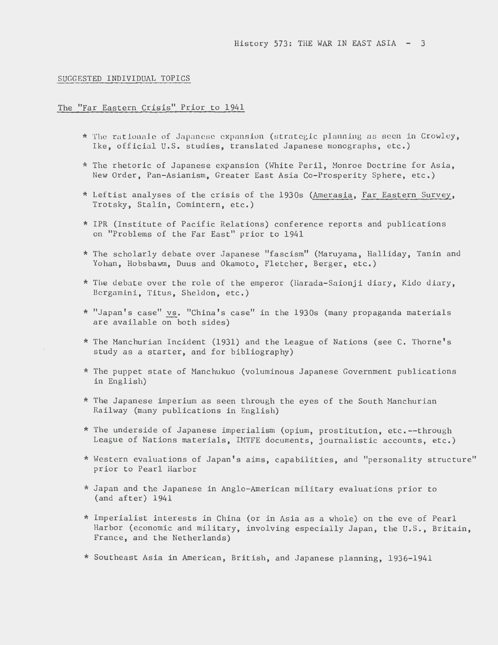### SUGGESTED INDIVIDUAL TOPICS

### The "Far Eastern Crisis" Prior to 1941

- \* The rationale of Japanese expansion (strategic planning as seen in Crowley, Ike, official U.S. studies, translated Japanese monographs, etc.)
- \* The rhetoric of Japanese expansion (White Peril, Monroe Doctrine for Asia, New Order, Pan-Asianism, Greater East Asia Co-Prosperity Sphere, etc.)
- \* Leftist analyses of the crisis of the 1930s (Amerasia, Far Eastern Survey, Trotsky, Stalin, Comintern, etc.)
- \* IPR (Institute of Pacific Relations) conference reports and publications on "Problems of the Far East" prior to 1941
- \* The scholarly debate over Japanese "fascism" (Maruyama, Halliday, Tanin and Yohan, Hobsbawm, Duus and Okamoto, Fletcher, Berger, etc.)
- \* The debate over the role of the emperor (Harada-Saionji diary, Kido diary, Bergamini, Titus, Sheldon, etc.)
- \* "Japan's case" vs. "China's case" in the 1930s (many propaganda materials are available on both sides)
- \* The Manchurian Incident (1931) and the League of Nations (see C. Thorne's study as a starter, and for bibliography)
- \* The puppet state of Manchukuo (voluminous Japanese Government publications in English)
- \* The Japanese imperium as seen through the eyes of the South Manchurian Railway (many publications in English)
- \* The underside of Japanese imperialism (opium, prostitution, etc.--through League of Nations materials, IMTFE documents, journalistic accounts, etc.)
- \* Western evaluations of Japan's aims, capabilities, and "personality structure" prior to Pearl Harbor
- \* Japan and the Japanese in Anglo-American military evaluations prior to (and after) 1941
- \* Imperialist interests in China (or in Asia as a whole) on the eve of Pearl Harbor (economic and military, involving especially Japan, the U.S., Britain, France, and the Netherlands)
- \* Southeast Asia in American, British, and Japanese planning, 1936-1941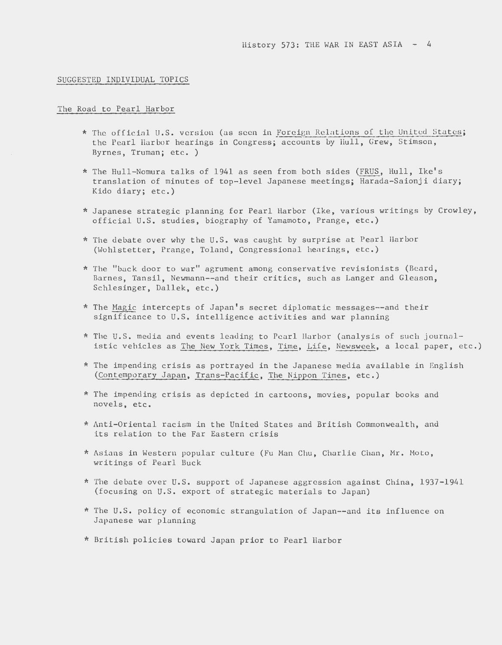#### SUGGESTED INDIVIDUAL TOPICS

### The Road to Pearl Harbor

- \* The official u.s. version (as seen in Foreign Relations of the United States; the Pearl Harbor hearings in Congress; accounts by Hull, Grew, Stimson, Byrnes, Truman; etc. )
- \*The Hull-Nomura talks of 1941 as seen from both sides (FRUS, Hull, Ike's translation of minutes of top-level Japanese meetings; Harada-Saionji diary; Kido diary; etc.)
- \* Japanese strategic planning for Pearl Harbor (Ike, various writings by Crowley, official U.S. studies, biography of Yamamoto, Prange, etc.)
- \* The debate over why the u.s. was caught by surprise at Pearl Harbor <sup>1</sup> (Wohlstetter, Prange, Toland, Congressional hearings, etc.)
- \* The "back door to war" agrument among conservative revisionists (Beard, Barnes, Tansil, Newmann--and their critics, such as Langer and Gleason, Schlesinger, Dallek, etc.)
- \* The Magic intercepts of Japan's secret diplomatic messages--and their significance to U.S. intelligence activities and war planning
- \* The u.s. media and events leading to Pearl Harbor (analysis of such journalistic vehicles as The New York Times, Time, Life, Newsweek, a local paper, etc.)
- \* The impending crisis as portrayed in the Japanese media available in English (Contemporary Japan, Trans-Pacific, The Nippon Times, etc.)
- \* The impending crisis as depicted in cartoons, movies, popular books and novels, etc.
- \* Anti-Oriental racism in the United States and British Commonwealth, and its relation to the Far Eastern crisis
- \* Asians in Western popular culture (Fu Man Chu, Charlie Chan, Mr. Mota, writings of Pearl Buck
- \* The debate over U.S. support of Japanese aggression against China, 1937-1941 (focusing on U.S. export of strategic materials to Japan)
- \* The U.S. policy of economic strangulation of Japan--and its influence on Japanese war planning
- \* British policies toward Japan prior to Pearl Harbor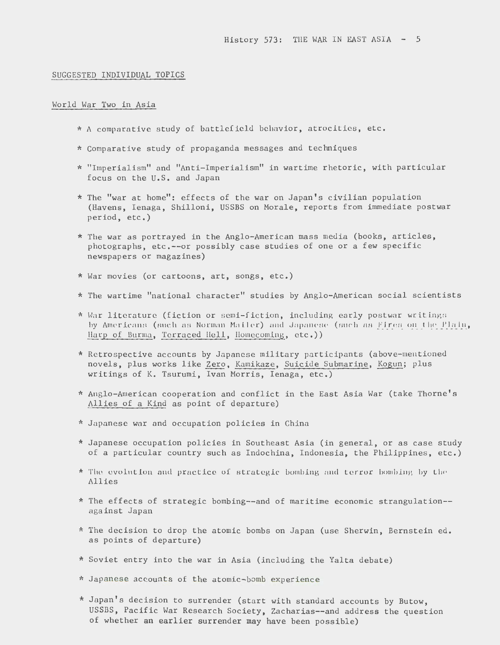#### SUGGESTED INDIVIDUAL TOPICS

## World War Two in Asia

- \* A comparative study of battlefield behavior, atrocities, etc.
- \* Comparative study of propaganda messages and techniques
- \* "Imperialism" and "Anti-Imperialism" in wartime rhetoric, with particular focus on the U.S. and Japan
- \* The "war at home": effects of the war on Japan's civilian population (Havens, Ienaga, Shilloni, USSBS on Morale, reports from immediate postwar period, etc.)
- \* The war as portrayed in the Anglo-American mass media (books, articles, photographs, etc.--or possibly case studies of one or a few specific newspapers or magazines)
- \* War movies (or cartoons, art, songs, etc.)
- \* The wartime "national character" studies by Anglo-American social scientists
- \* War literature (fiction or semi-fiction, including early postwar writings by Americans (such as Norman Maller) and Japanese (such as Fires on the Plain, Harp of Burma, Terraced Hell, Homecoming, etc .))
- \* Retrospective accounts by Japanese military participants (above-mentioned novels, plus works like Zero, Kamikaze, Suicide Submarine, Kogun; plus writings of K. Tsurumi, Ivan Morris, Ienaga, etc.)
- \*Anglo-American cooperation and conflict in the East Asia War (take Thorne's Allies of a Kind as point of departure)
- \* Japanese war and occupation policies in China
- \* Japanese occupation policies in Southeast Asia (in general, or as case study of a particular country such as Indochina, Indonesia, the Philippines, etc.)
- $*$  The evolution and practice of strategic bombing and terror bombing by the Allies
- \* The effects of strategic bombing--and of maritime economic strangulation- against Japan
- \* The decision to drop the atomic bombs on Japan (use Sherwin, Bernstein ed. as points of departure)
- \* Soviet entry into the war in Asia (including the Yalta debate)
- \* Japanese accounts of the atomic-bomb experience
- \*Japan's decision to surrender (start with standard accounts by Butow, USSBS, Pacific War Research Society, Zacharias--and address the question of whether an earlier surrender may have been possible)